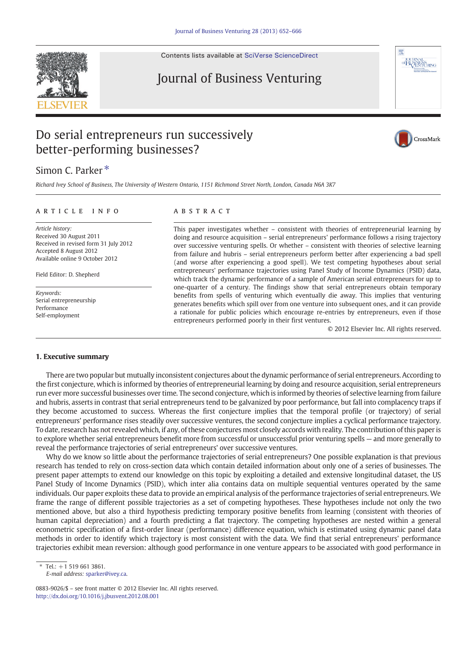Contents lists available at [SciVerse ScienceDirect](http://www.sciencedirect.com/science/journal/08839026)

# Journal of Business Venturing

# Do serial entrepreneurs run successively better-performing businesses?

## Simon C. Parker<sup>\*</sup>

Richard Ivey School of Business, The University of Western Ontario, 1151 Richmond Street North, London, Canada N6A 3K7

#### article info abstract

Article history: Received 30 August 2011 Received in revised form 31 July 2012 Accepted 8 August 2012 Available online 9 October 2012

Field Editor: D. Shepherd

Keywords: Serial entrepreneurship Performance Self-employment

This paper investigates whether – consistent with theories of entrepreneurial learning by doing and resource acquisition – serial entrepreneurs' performance follows a rising trajectory over successive venturing spells. Or whether – consistent with theories of selective learning from failure and hubris – serial entrepreneurs perform better after experiencing a bad spell (and worse after experiencing a good spell). We test competing hypotheses about serial entrepreneurs' performance trajectories using Panel Study of Income Dynamics (PSID) data, which track the dynamic performance of a sample of American serial entrepreneurs for up to one-quarter of a century. The findings show that serial entrepreneurs obtain temporary benefits from spells of venturing which eventually die away. This implies that venturing generates benefits which spill over from one venture into subsequent ones, and it can provide a rationale for public policies which encourage re-entries by entrepreneurs, even if those entrepreneurs performed poorly in their first ventures.

© 2012 Elsevier Inc. All rights reserved.

#### 1. Executive summary

There are two popular but mutually inconsistent conjectures about the dynamic performance of serial entrepreneurs. According to the first conjecture, which is informed by theories of entrepreneurial learning by doing and resource acquisition, serial entrepreneurs run ever more successful businesses over time. The second conjecture, which is informed by theories of selective learning from failure and hubris, asserts in contrast that serial entrepreneurs tend to be galvanized by poor performance, but fall into complacency traps if they become accustomed to success. Whereas the first conjecture implies that the temporal profile (or trajectory) of serial entrepreneurs' performance rises steadily over successive ventures, the second conjecture implies a cyclical performance trajectory. To date, research has not revealed which, if any, of these conjectures most closely accords with reality. The contribution of this paper is to explore whether serial entrepreneurs benefit more from successful or unsuccessful prior venturing spells — and more generally to reveal the performance trajectories of serial entrepreneurs' over successive ventures.

Why do we know so little about the performance trajectories of serial entrepreneurs? One possible explanation is that previous research has tended to rely on cross-section data which contain detailed information about only one of a series of businesses. The present paper attempts to extend our knowledge on this topic by exploiting a detailed and extensive longitudinal dataset, the US Panel Study of Income Dynamics (PSID), which inter alia contains data on multiple sequential ventures operated by the same individuals. Our paper exploits these data to provide an empirical analysis of the performance trajectories of serial entrepreneurs. We frame the range of different possible trajectories as a set of competing hypotheses. These hypotheses include not only the two mentioned above, but also a third hypothesis predicting temporary positive benefits from learning (consistent with theories of human capital depreciation) and a fourth predicting a flat trajectory. The competing hypotheses are nested within a general econometric specification of a first-order linear (performance) difference equation, which is estimated using dynamic panel data methods in order to identify which trajectory is most consistent with the data. We find that serial entrepreneurs' performance trajectories exhibit mean reversion: although good performance in one venture appears to be associated with good performance in

⁎ Tel.: +1 519 661 3861.

E-mail address: [sparker@ivey.ca](mailto:sparker@ivey.ca).







<sup>0883-9026/\$</sup> – see front matter © 2012 Elsevier Inc. All rights reserved. <http://dx.doi.org/10.1016/j.jbusvent.2012.08.001>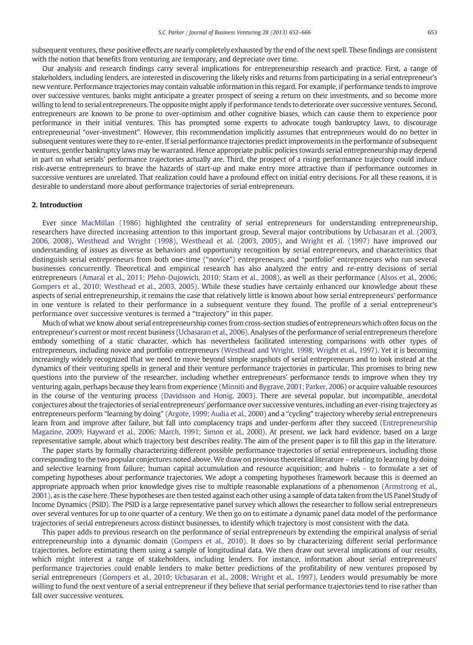subsequent ventures, these positive effects are nearly completely exhausted by the end of the next spell. These findings are consistent with the notion that benefits from venturing are temporary, and depreciate over time.

Our analysis and research findings carry several implications for entrepreneurship research and practice. First, a range of stakeholders, including lenders, are interested in discovering the likely risks and returns from participating in a serial entrepreneur's new venture. Performance trajectories may contain valuable information in this regard. For example, if performance tends to improve over successive ventures, banks might anticipate a greater prospect of seeing a return on their investments, and so become more willing to lend to serial entrepreneurs. The opposite might apply if performance tends to deteriorate over successive ventures. Second, entrepreneurs are known to be prone to over-optimism and other cognitive biases, which can cause them to experience poor performance in their initial ventures. This has prompted some experts to advocate tough bankruptcy laws, to discourage entrepreneurial "over-investment". However, this recommendation implicitly assumes that entrepreneurs would do no better in subsequent ventures were they to re-enter. If serial performance trajectories predict improvements in the performance of subsequent ventures, gentler bankruptcy laws may be warranted. Hence appropriate public policies towards serial entrepreneurship may depend in part on what serials' performance trajectories actually are. Third, the prospect of a rising performance trajectory could induce risk-averse entrepreneurs to brave the hazards of start-up and make entry more attractive than if performance outcomes in successive ventures are unrelated. That realization could have a profound effect on initial entry decisions. For all these reasons, it is desirable to understand more about performance trajectories of serial entrepreneurs.

#### 2. Introduction

Ever since [MacMillan \(1986\)](#page-13-0) highlighted the centrality of serial entrepreneurs for understanding entrepreneurship, researchers have directed increasing attention to this important group. Several major contributions by [Ucbasaran et al. \(2003,](#page-14-0) [2006, 2008\),](#page-14-0) [Westhead and Wright \(1998\),](#page-14-0) [Westhead et al. \(2003, 2005\),](#page-14-0) and [Wright et al. \(1997\)](#page-14-0) have improved our understanding of issues as diverse as behaviors and opportunity recognition by serial entrepreneurs, and characteristics that distinguish serial entrepreneurs from both one-time ("novice") entrepreneurs, and "portfolio" entrepreneurs who run several businesses concurrently. Theoretical and empirical research has also analyzed the entry and re-entry decisions of serial entrepreneurs ([Amaral et al., 2011; Plehn-Dujowich, 2010; Stam et al., 2008](#page-12-0)), as well as their performance ([Alsos et al., 2006;](#page-12-0) [Gompers et al., 2010; Westhead et al., 2003, 2005\)](#page-12-0). While these studies have certainly enhanced our knowledge about these aspects of serial entrepreneurship, it remains the case that relatively little is known about how serial entrepreneurs' performance in one venture is related to their performance in a subsequent venture they found. The profile of a serial entrepreneur's performance over successive ventures is termed a "trajectory" in this paper.

Much of what we know about serial entrepreneurship comes from cross-section studies of entrepreneurs which often focus on the entrepreneur's current or most recent business ([Ucbasaran et al., 2006\)](#page-14-0). Analyses of the performance of serial entrepreneurs therefore embody something of a static character, which has nevertheless facilitated interesting comparisons with other types of entrepreneurs, including novice and portfolio entrepreneurs ([Westhead and Wright, 1998; Wright et al., 1997](#page-14-0)). Yet it is becoming increasingly widely recognized that we need to move beyond simple snapshots of serial entrepreneurs and to look instead at the dynamics of their venturing spells in general and their venture performance trajectories in particular. This promises to bring new questions into the purview of the researcher, including whether entrepreneurs' performance tends to improve when they try venturing again, perhaps because they learn from experience [\(Minniti and Bygrave, 2001; Parker, 2006\)](#page-13-0) or acquire valuable resources in the course of the venturing process ([Davidsson and Honig, 2003\)](#page-13-0). There are several popular, but incompatible, anecdotal conjectures about the trajectories of serial entrepreneurs' performance over successive ventures, including an ever-rising trajectory as entrepreneurs perform "learning by doing" [\(Argote, 1999; Audia et al., 2000](#page-12-0)) and a "cycling" trajectory whereby serial entrepreneurs learn from and improve after failure, but fall into complacency traps and under-perform after they succeed ([Entrepreneurship](#page-13-0) [Magazine, 2009; Hayward et al., 2006; March, 1991; Simon et al., 2000\)](#page-13-0). At present, we lack hard evidence, based on a large representative sample, about which trajectory best describes reality. The aim of the present paper is to fill this gap in the literature.

The paper starts by formally characterizing different possible performance trajectories of serial entrepreneurs, including those corresponding to the two popular conjectures noted above. We draw on previous theoretical literature – relating to learning by doing and selective learning from failure; human capital accumulation and resource acquisition; and hubris – to formulate a set of competing hypotheses about performance trajectories. We adopt a competing hypotheses framework because this is deemed an appropriate approach when prior knowledge gives rise to multiple reasonable explanations of a phenomenon ([Armstrong et al.,](#page-12-0) [2001\)](#page-12-0), as is the case here. These hypotheses are then tested against each other using a sample of data taken from the US Panel Study of Income Dynamics (PSID). The PSID is a large representative panel survey which allows the researcher to follow serial entrepreneurs over several ventures for up to one quarter of a century. We then go on to estimate a dynamic panel data model of the performance trajectories of serial entrepreneurs across distinct businesses, to identify which trajectory is most consistent with the data.

This paper adds to previous research on the performance of serial entrepreneurs by extending the empirical analysis of serial entrepreneurship into a dynamic domain [\(Gompers et al., 2010\)](#page-13-0). It does so by characterizing different serial performance trajectories, before estimating them using a sample of longitudinal data. We then draw out several implications of our results, which might interest a range of stakeholders, including lenders. For instance, information about serial entrepreneurs' performance trajectories could enable lenders to make better predictions of the profitability of new ventures proposed by serial entrepreneurs ([Gompers et al., 2010; Ucbasaran et al., 2008; Wright et al., 1997](#page-13-0)). Lenders would presumably be more willing to fund the next venture of a serial entrepreneur if they believe that serial performance trajectories tend to rise rather than fall over successive ventures.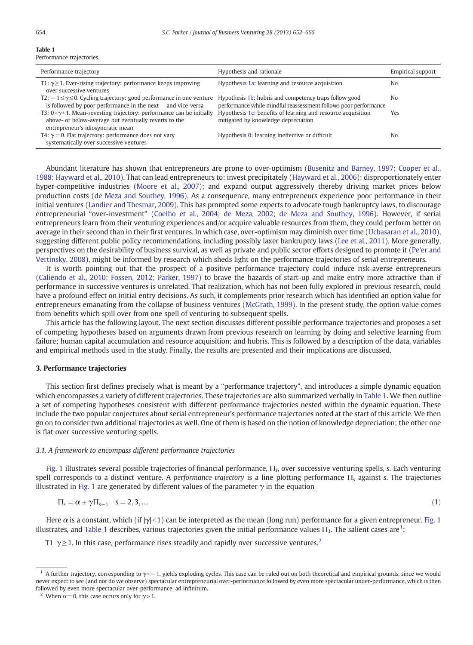### <span id="page-2-0"></span>Table 1

| Performance trajectories. |  |
|---------------------------|--|
|---------------------------|--|

| Performance trajectory                                                                                                                                                  | Hypothesis and rationale                                                                                                  | <b>Empirical support</b> |
|-------------------------------------------------------------------------------------------------------------------------------------------------------------------------|---------------------------------------------------------------------------------------------------------------------------|--------------------------|
| T1: $\gamma \geq 1$ . Ever-rising trajectory: performance keeps improving<br>over successive ventures                                                                   | Hypothesis 1a: learning and resource acquisition                                                                          | No                       |
| T2: $-1 \le \gamma \le 0$ . Cycling trajectory: good performance in one venture<br>is followed by poor performance in the next $-$ and vice-versa                       | Hypothesis 1b: hubris and competency traps follow good<br>performance while mindful reassessment follows poor performance | No                       |
| T3: $0 < y < 1$ . Mean-reverting trajectory: performance can be initially<br>above- or below-average but eventually reverts to the<br>entrepreneur's idiosyncratic mean | Hypothesis 1c: benefits of learning and resource acquisition<br>mitigated by knowledge depreciation                       | Yes                      |
| T4: $\gamma = 0$ . Flat trajectory: performance does not vary<br>systematically over successive ventures                                                                | Hypothesis 0: learning ineffective or difficult                                                                           | N <sub>o</sub>           |

Abundant literature has shown that entrepreneurs are prone to over-optimism ([Busenitz and Barney, 1997; Cooper et al.,](#page-13-0) [1988; Hayward et al., 2010](#page-13-0)). That can lead entrepreneurs to: invest precipitately [\(Hayward et al., 2006\)](#page-13-0); disproportionately enter hyper-competitive industries [\(Moore et al., 2007](#page-13-0)); and expand output aggressively thereby driving market prices below production costs ([de Meza and Southey, 1996\)](#page-13-0). As a consequence, many entrepreneurs experience poor performance in their initial ventures ([Landier and Thesmar, 2009](#page-13-0)). This has prompted some experts to advocate tough bankruptcy laws, to discourage entrepreneurial "over-investment" [\(Coelho et al., 2004; de Meza, 2002; de Meza and Southey, 1996](#page-13-0)). However, if serial entrepreneurs learn from their venturing experiences and/or acquire valuable resources from them, they could perform better on average in their second than in their first ventures. In which case, over-optimism may diminish over time ([Ucbasaran et al., 2010](#page-14-0)), suggesting different public policy recommendations, including possibly laxer bankruptcy laws ([Lee et al., 2011](#page-13-0)). More generally, perspectives on the desirability of business survival, as well as private and public sector efforts designed to promote it ([Pe'er and](#page-14-0) [Vertinsky, 2008](#page-14-0)), might be informed by research which sheds light on the performance trajectories of serial entrepreneurs.

It is worth pointing out that the prospect of a positive performance trajectory could induce risk-averse entrepreneurs ([Caliendo et al., 2010; Fossen, 2012; Parker, 1997](#page-13-0)) to brave the hazards of start-up and make entry more attractive than if performance in successive ventures is unrelated. That realization, which has not been fully explored in previous research, could have a profound effect on initial entry decisions. As such, it complements prior research which has identified an option value for entrepreneurs emanating from the collapse of business ventures ([McGrath, 1999\)](#page-13-0). In the present study, the option value comes from benefits which spill over from one spell of venturing to subsequent spells.

This article has the following layout. The next section discusses different possible performance trajectories and proposes a set of competing hypotheses based on arguments drawn from previous research on learning by doing and selective learning from failure; human capital accumulation and resource acquisition; and hubris. This is followed by a description of the data, variables and empirical methods used in the study. Finally, the results are presented and their implications are discussed.

#### 3. Performance trajectories

This section first defines precisely what is meant by a "performance trajectory", and introduces a simple dynamic equation which encompasses a variety of different trajectories. These trajectories are also summarized verbally in Table 1. We then outline a set of competing hypotheses consistent with different performance trajectories nested within the dynamic equation. These include the two popular conjectures about serial entrepreneur's performance trajectories noted at the start of this article. We then go on to consider two additional trajectories as well. One of them is based on the notion of knowledge depreciation; the other one is flat over successive venturing spells.

#### 3.1. A framework to encompass different performance trajectories

[Fig. 1](#page-3-0) illustrates several possible trajectories of financial performance, Πs, over successive venturing spells, s. Each venturing spell corresponds to a distinct venture. A performance trajectory is a line plotting performance  $\Pi_s$  against s. The trajectories illustrated in [Fig. 1](#page-3-0) are generated by different values of the parameter  $\gamma$  in the equation

$$
\Pi_s = \alpha + \gamma \Pi_{s-1} \quad s = 2, 3, \dots \tag{1}
$$

Here  $\alpha$  is a constant, which (if  $|\gamma|<1$ ) can be interpreted as the mean (long run) performance for a given entrepreneur. [Fig. 1](#page-3-0) illustrates, and Table 1 describes, various trajectories given the initial performance values  $\Pi_1$ . The salient cases are $^1$ :

T1  $\gamma \geq 1$ . In this case, performance rises steadily and rapidly over successive ventures.<sup>2</sup>

<sup>&</sup>lt;sup>1</sup> A further trajectory, corresponding to  $\gamma$ < −1, yields exploding cycles. This case can be ruled out on both theoretical and empirical grounds, since we would never expect to see (and nor do we observe) spectacular entrepreneurial over-performance followed by even more spectacular under-performance, which is then followed by even more spectacular over-performance, ad infinitum.

<sup>&</sup>lt;sup>2</sup> When  $\alpha$  = 0, this case occurs only for  $\gamma$  > 1.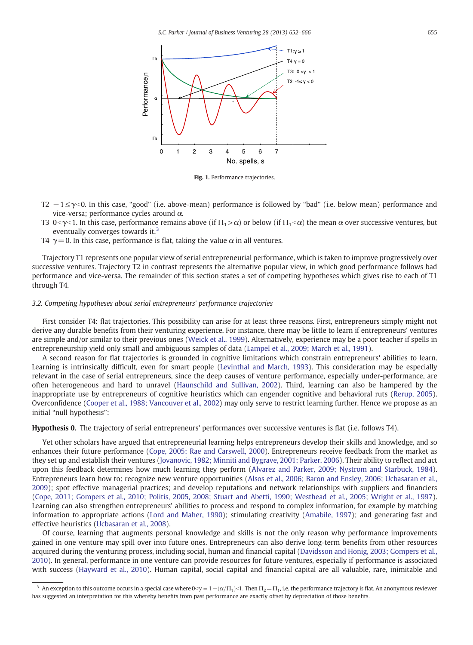<span id="page-3-0"></span>

Fig. 1. Performance trajectories.

- T2  $-1 \le y$ <0. In this case, "good" (i.e. above-mean) performance is followed by "bad" (i.e. below mean) performance and vice-versa; performance cycles around α.
- T3 0< $\gamma$ <1. In this case, performance remains above (if  $\Pi_1>\alpha$ ) or below (if  $\Pi_1<\alpha$ ) the mean  $\alpha$  over successive ventures, but eventually converges towards it. $3$
- T4  $\gamma$  = 0. In this case, performance is flat, taking the value  $\alpha$  in all ventures.

Trajectory T1 represents one popular view of serial entrepreneurial performance, which is taken to improve progressively over successive ventures. Trajectory T2 in contrast represents the alternative popular view, in which good performance follows bad performance and vice-versa. The remainder of this section states a set of competing hypotheses which gives rise to each of T1 through T4.

#### 3.2. Competing hypotheses about serial entrepreneurs' performance trajectories

First consider T4: flat trajectories. This possibility can arise for at least three reasons. First, entrepreneurs simply might not derive any durable benefits from their venturing experience. For instance, there may be little to learn if entrepreneurs' ventures are simple and/or similar to their previous ones ([Weick et al., 1999\)](#page-14-0). Alternatively, experience may be a poor teacher if spells in entrepreneurship yield only small and ambiguous samples of data [\(Lampel et al., 2009; March et al., 1991\)](#page-13-0).

A second reason for flat trajectories is grounded in cognitive limitations which constrain entrepreneurs' abilities to learn. Learning is intrinsically difficult, even for smart people [\(Levinthal and March, 1993\)](#page-13-0). This consideration may be especially relevant in the case of serial entrepreneurs, since the deep causes of venture performance, especially under-performance, are often heterogeneous and hard to unravel ([Haunschild and Sullivan, 2002\)](#page-13-0). Third, learning can also be hampered by the inappropriate use by entrepreneurs of cognitive heuristics which can engender cognitive and behavioral ruts ([Rerup, 2005\)](#page-14-0). Overconfidence [\(Cooper et al., 1988; Vancouver et al., 2002](#page-13-0)) may only serve to restrict learning further. Hence we propose as an initial "null hypothesis":

Hypothesis 0. The trajectory of serial entrepreneurs' performances over successive ventures is flat (i.e. follows T4).

Yet other scholars have argued that entrepreneurial learning helps entrepreneurs develop their skills and knowledge, and so enhances their future performance ([Cope, 2005; Rae and Carswell, 2000\)](#page-13-0). Entrepreneurs receive feedback from the market as they set up and establish their ventures [\(Jovanovic, 1982; Minniti and Bygrave, 2001; Parker, 2006](#page-13-0)). Their ability to reflect and act upon this feedback determines how much learning they perform ([Alvarez and Parker, 2009; Nystrom and Starbuck, 1984\)](#page-12-0). Entrepreneurs learn how to: recognize new venture opportunities [\(Alsos et al., 2006; Baron and Ensley, 2006; Ucbasaran et al.,](#page-12-0) [2009](#page-12-0)); spot effective managerial practices; and develop reputations and network relationships with suppliers and financiers [\(Cope, 2011; Gompers et al., 2010; Politis, 2005, 2008; Stuart and Abetti, 1990; Westhead et al., 2005; Wright et al., 1997\)](#page-13-0). Learning can also strengthen entrepreneurs' abilities to process and respond to complex information, for example by matching information to appropriate actions ([Lord and Maher, 1990\)](#page-13-0); stimulating creativity [\(Amabile, 1997\)](#page-12-0); and generating fast and effective heuristics [\(Ucbasaran et al., 2008](#page-14-0)).

Of course, learning that augments personal knowledge and skills is not the only reason why performance improvements gained in one venture may spill over into future ones. Entrepreneurs can also derive long-term benefits from other resources acquired during the venturing process, including social, human and financial capital [\(Davidsson and Honig, 2003; Gompers et al.,](#page-13-0) [2010](#page-13-0)). In general, performance in one venture can provide resources for future ventures, especially if performance is associated with success ([Hayward et al., 2010](#page-13-0)). Human capital, social capital and financial capital are all valuable, rare, inimitable and

<sup>&</sup>lt;sup>3</sup> An exception to this outcome occurs in a special case where  $0<\gamma = 1-(\alpha/\Pi_1)<1$ . Then  $\Pi_2=\Pi_1$ , i.e. the performance trajectory is flat. An anonymous reviewer has suggested an interpretation for this whereby benefits from past performance are exactly offset by depreciation of those benefits.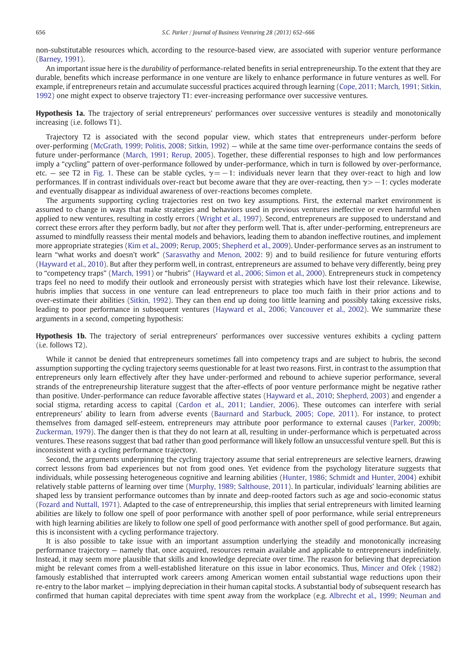<span id="page-4-0"></span>non-substitutable resources which, according to the resource-based view, are associated with superior venture performance ([Barney, 1991](#page-12-0)).

An important issue here is the durability of performance-related benefits in serial entrepreneurship. To the extent that they are durable, benefits which increase performance in one venture are likely to enhance performance in future ventures as well. For example, if entrepreneurs retain and accumulate successful practices acquired through learning ([Cope, 2011; March, 1991; Sitkin,](#page-13-0) [1992](#page-13-0)) one might expect to observe trajectory T1: ever-increasing performance over successive ventures.

Hypothesis 1a. The trajectory of serial entrepreneurs' performances over successive ventures is steadily and monotonically increasing (i.e. follows T1).

Trajectory T2 is associated with the second popular view, which states that entrepreneurs under-perform before over-performing ([McGrath, 1999; Politis, 2008; Sitkin, 1992](#page-13-0)) — while at the same time over-performance contains the seeds of future under-performance ([March, 1991; Rerup, 2005](#page-13-0)). Together, these differential responses to high and low performances imply a "cycling" pattern of over-performance followed by under-performance, which in turn is followed by over-performance, etc. — see T2 in [Fig. 1](#page-3-0). These can be stable cycles,  $\gamma = -1$ : individuals never learn that they over-react to high and low performances. If in contrast individuals over-react but become aware that they are over-reacting, then γ>−1: cycles moderate and eventually disappear as individual awareness of over-reactions becomes complete.

The arguments supporting cycling trajectories rest on two key assumptions. First, the external market environment is assumed to change in ways that make strategies and behaviors used in previous ventures ineffective or even harmful when applied to new ventures, resulting in costly errors ([Wright et al., 1997\)](#page-14-0). Second, entrepreneurs are supposed to understand and correct these errors after they perform badly, but not after they perform well. That is, after under-performing, entrepreneurs are assumed to mindfully reassess their mental models and behaviors, leading them to abandon ineffective routines, and implement more appropriate strategies [\(Kim et al., 2009; Rerup, 2005; Shepherd et al., 2009](#page-13-0)). Under-performance serves as an instrument to learn "what works and doesn't work" ([Sarasvathy and Menon, 2002:](#page-14-0) 9) and to build resilience for future venturing efforts ([Hayward et al., 2010](#page-13-0)). But after they perform well, in contrast, entrepreneurs are assumed to behave very differently, being prey to "competency traps" [\(March, 1991\)](#page-13-0) or "hubris" [\(Hayward et al., 2006; Simon et al., 2000\)](#page-13-0). Entrepreneurs stuck in competency traps feel no need to modify their outlook and erroneously persist with strategies which have lost their relevance. Likewise, hubris implies that success in one venture can lead entrepreneurs to place too much faith in their prior actions and to over-estimate their abilities ([Sitkin, 1992\)](#page-14-0). They can then end up doing too little learning and possibly taking excessive risks, leading to poor performance in subsequent ventures [\(Hayward et al., 2006; Vancouver et al., 2002\)](#page-13-0). We summarize these arguments in a second, competing hypothesis:

Hypothesis 1b. The trajectory of serial entrepreneurs' performances over successive ventures exhibits a cycling pattern (i.e. follows T2).

While it cannot be denied that entrepreneurs sometimes fall into competency traps and are subject to hubris, the second assumption supporting the cycling trajectory seems questionable for at least two reasons. First, in contrast to the assumption that entrepreneurs only learn effectively after they have under-performed and rebound to achieve superior performance, several strands of the entrepreneurship literature suggest that the after-effects of poor venture performance might be negative rather than positive. Under-performance can reduce favorable affective states [\(Hayward et al., 2010; Shepherd, 2003\)](#page-13-0) and engender a social stigma, retarding access to capital ([Cardon et al., 2011; Landier, 2006](#page-13-0)). These outcomes can interfere with serial entrepreneurs' ability to learn from adverse events ([Baurnard and Starbuck, 2005; Cope, 2011\)](#page-13-0). For instance, to protect themselves from damaged self-esteem, entrepreneurs may attribute poor performance to external causes ([Parker, 2009b;](#page-14-0) [Zuckerman, 1979](#page-14-0)). The danger then is that they do not learn at all, resulting in under-performance which is perpetuated across ventures. These reasons suggest that bad rather than good performance will likely follow an unsuccessful venture spell. But this is inconsistent with a cycling performance trajectory.

Second, the arguments underpinning the cycling trajectory assume that serial entrepreneurs are selective learners, drawing correct lessons from bad experiences but not from good ones. Yet evidence from the psychology literature suggests that individuals, while possessing heterogeneous cognitive and learning abilities [\(Hunter, 1986; Schmidt and Hunter, 2004\)](#page-13-0) exhibit relatively stable patterns of learning over time [\(Murphy, 1989; Salthouse, 2011\)](#page-13-0). In particular, individuals' learning abilities are shaped less by transient performance outcomes than by innate and deep-rooted factors such as age and socio-economic status ([Fozard and Nuttall, 1971](#page-13-0)). Adapted to the case of entrepreneurship, this implies that serial entrepreneurs with limited learning abilities are likely to follow one spell of poor performance with another spell of poor performance, while serial entrepreneurs with high learning abilities are likely to follow one spell of good performance with another spell of good performance. But again, this is inconsistent with a cycling performance trajectory.

It is also possible to take issue with an important assumption underlying the steadily and monotonically increasing performance trajectory — namely that, once acquired, resources remain available and applicable to entrepreneurs indefinitely. Instead, it may seem more plausible that skills and knowledge depreciate over time. The reason for believing that depreciation might be relevant comes from a well-established literature on this issue in labor economics. Thus, [Mincer and Ofek \(1982\)](#page-13-0) famously established that interrupted work careers among American women entail substantial wage reductions upon their re-entry to the labor market — implying depreciation in their human capital stocks. A substantial body of subsequent research has confirmed that human capital depreciates with time spent away from the workplace (e.g. [Albrecht et al., 1999; Neuman and](#page-12-0)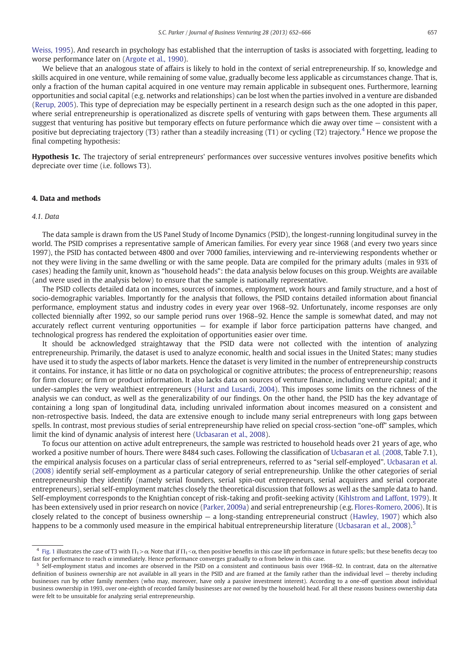<span id="page-5-0"></span>[Weiss, 1995](#page-12-0)). And research in psychology has established that the interruption of tasks is associated with forgetting, leading to worse performance later on [\(Argote et al., 1990](#page-12-0)).

We believe that an analogous state of affairs is likely to hold in the context of serial entrepreneurship. If so, knowledge and skills acquired in one venture, while remaining of some value, gradually become less applicable as circumstances change. That is, only a fraction of the human capital acquired in one venture may remain applicable in subsequent ones. Furthermore, learning opportunities and social capital (e.g. networks and relationships) can be lost when the parties involved in a venture are disbanded [\(Rerup, 2005\)](#page-14-0). This type of depreciation may be especially pertinent in a research design such as the one adopted in this paper, where serial entrepreneurship is operationalized as discrete spells of venturing with gaps between them. These arguments all suggest that venturing has positive but temporary effects on future performance which die away over time — consistent with a positive but depreciating trajectory (T3) rather than a steadily increasing (T1) or cycling (T2) trajectory.<sup>4</sup> Hence we propose the final competing hypothesis:

Hypothesis 1c. The trajectory of serial entrepreneurs' performances over successive ventures involves positive benefits which depreciate over time (i.e. follows T3).

#### 4. Data and methods

### 4.1. Data

The data sample is drawn from the US Panel Study of Income Dynamics (PSID), the longest-running longitudinal survey in the world. The PSID comprises a representative sample of American families. For every year since 1968 (and every two years since 1997), the PSID has contacted between 4800 and over 7000 families, interviewing and re-interviewing respondents whether or not they were living in the same dwelling or with the same people. Data are compiled for the primary adults (males in 93% of cases) heading the family unit, known as "household heads": the data analysis below focuses on this group. Weights are available (and were used in the analysis below) to ensure that the sample is nationally representative.

The PSID collects detailed data on incomes, sources of incomes, employment, work hours and family structure, and a host of socio-demographic variables. Importantly for the analysis that follows, the PSID contains detailed information about financial performance, employment status and industry codes in every year over 1968–92. Unfortunately, income responses are only collected biennially after 1992, so our sample period runs over 1968–92. Hence the sample is somewhat dated, and may not accurately reflect current venturing opportunities — for example if labor force participation patterns have changed, and technological progress has rendered the exploitation of opportunities easier over time.

It should be acknowledged straightaway that the PSID data were not collected with the intention of analyzing entrepreneurship. Primarily, the dataset is used to analyze economic, health and social issues in the United States; many studies have used it to study the aspects of labor markets. Hence the dataset is very limited in the number of entrepreneurship constructs it contains. For instance, it has little or no data on psychological or cognitive attributes; the process of entrepreneurship; reasons for firm closure; or firm or product information. It also lacks data on sources of venture finance, including venture capital; and it under-samples the very wealthiest entrepreneurs ([Hurst and Lusardi, 2004](#page-13-0)). This imposes some limits on the richness of the analysis we can conduct, as well as the generalizability of our findings. On the other hand, the PSID has the key advantage of containing a long span of longitudinal data, including unrivaled information about incomes measured on a consistent and non-retrospective basis. Indeed, the data are extensive enough to include many serial entrepreneurs with long gaps between spells. In contrast, most previous studies of serial entrepreneurship have relied on special cross-section "one-off" samples, which limit the kind of dynamic analysis of interest here [\(Ucbasaran et al., 2008](#page-14-0)).

To focus our attention on active adult entrepreneurs, the sample was restricted to household heads over 21 years of age, who worked a positive number of hours. There were 8484 such cases. Following the classification of [Ucbasaran et al. \(2008,](#page-14-0) Table 7.1), the empirical analysis focuses on a particular class of serial entrepreneurs, referred to as "serial self-employed". [Ucbasaran et al.](#page-14-0) [\(2008\)](#page-14-0) identify serial self-employment as a particular category of serial entrepreneurship. Unlike the other categories of serial entrepreneurship they identify (namely serial founders, serial spin-out entrepreneurs, serial acquirers and serial corporate entrepreneurs), serial self-employment matches closely the theoretical discussion that follows as well as the sample data to hand. Self-employment corresponds to the Knightian concept of risk-taking and profit-seeking activity ([Kihlstrom and Laffont, 1979\)](#page-13-0). It has been extensively used in prior research on novice ([Parker, 2009a](#page-14-0)) and serial entrepreneurship (e.g. [Flores-Romero, 2006](#page-13-0)). It is closely related to the concept of business ownership — a long-standing entrepreneurial construct [\(Hawley, 1907\)](#page-13-0) which also happens to be a commonly used measure in the empirical habitual entrepreneurship literature [\(Ucbasaran et al., 2008](#page-14-0)).<sup>5</sup>

<sup>&</sup>lt;sup>4</sup> [Fig. 1](#page-3-0) illustrates the case of T3 with Π<sub>1</sub> > α. Note that if Π<sub>1</sub> < α, then positive benefits in this case lift performance in future spells; but these benefits decay too fast for performance to reach  $\alpha$  immediately. Hence performance converges gradually to  $\alpha$  from below in this case.

<sup>5</sup> Self-employment status and incomes are observed in the PSID on a consistent and continuous basis over 1968–92. In contrast, data on the alternative definition of business ownership are not available in all years in the PSID and are framed at the family rather than the individual level — thereby including businesses run by other family members (who may, moreover, have only a passive investment interest). According to a one-off question about individual business ownership in 1993, over one-eighth of recorded family businesses are not owned by the household head. For all these reasons business ownership data were felt to be unsuitable for analyzing serial entrepreneurship.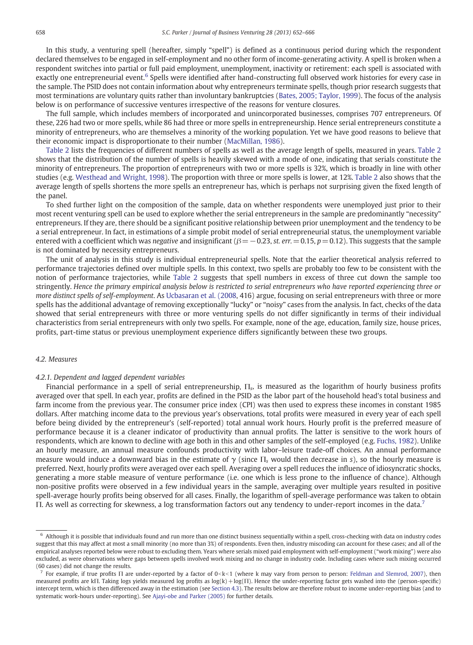In this study, a venturing spell (hereafter, simply "spell") is defined as a continuous period during which the respondent declared themselves to be engaged in self-employment and no other form of income-generating activity. A spell is broken when a respondent switches into partial or full paid employment, unemployment, inactivity or retirement: each spell is associated with exactly one entrepreneurial event.<sup>6</sup> Spells were identified after hand-constructing full observed work histories for every case in the sample. The PSID does not contain information about why entrepreneurs terminate spells, though prior research suggests that most terminations are voluntary quits rather than involuntary bankruptcies ([Bates, 2005; Taylor, 1999\)](#page-13-0). The focus of the analysis below is on performance of successive ventures irrespective of the reasons for venture closures.

The full sample, which includes members of incorporated and unincorporated businesses, comprises 707 entrepreneurs. Of these, 226 had two or more spells, while 86 had three or more spells in entrepreneurship. Hence serial entrepreneurs constitute a minority of entrepreneurs, who are themselves a minority of the working population. Yet we have good reasons to believe that their economic impact is disproportionate to their number [\(MacMillan, 1986](#page-13-0)).

[Table 2](#page-7-0) lists the frequencies of different numbers of spells as well as the average length of spells, measured in years. [Table 2](#page-7-0) shows that the distribution of the number of spells is heavily skewed with a mode of one, indicating that serials constitute the minority of entrepreneurs. The proportion of entrepreneurs with two or more spells is 32%, which is broadly in line with other studies (e.g. [Westhead and Wright, 1998\)](#page-14-0). The proportion with three or more spells is lower, at 12%. [Table 2](#page-7-0) also shows that the average length of spells shortens the more spells an entrepreneur has, which is perhaps not surprising given the fixed length of the panel.

To shed further light on the composition of the sample, data on whether respondents were unemployed just prior to their most recent venturing spell can be used to explore whether the serial entrepreneurs in the sample are predominantly "necessity" entrepreneurs. If they are, there should be a significant positive relationship between prior unemployment and the tendency to be a serial entrepreneur. In fact, in estimations of a simple probit model of serial entrepreneurial status, the unemployment variable entered with a coefficient which was negative and insignificant ( $\beta = -0.23$ , st. err. = 0.15, p = 0.12). This suggests that the sample is not dominated by necessity entrepreneurs.

The unit of analysis in this study is individual entrepreneurial spells. Note that the earlier theoretical analysis referred to performance trajectories defined over multiple spells. In this context, two spells are probably too few to be consistent with the notion of performance trajectories, while [Table 2](#page-7-0) suggests that spell numbers in excess of three cut down the sample too stringently. Hence the primary empirical analysis below is restricted to serial entrepreneurs who have reported experiencing three or more distinct spells of self-employment. As [Ucbasaran et al. \(2008,](#page-14-0) 416) argue, focusing on serial entrepreneurs with three or more spells has the additional advantage of removing exceptionally "lucky" or "noisy" cases from the analysis. In fact, checks of the data showed that serial entrepreneurs with three or more venturing spells do not differ significantly in terms of their individual characteristics from serial entrepreneurs with only two spells. For example, none of the age, education, family size, house prices, profits, part-time status or previous unemployment experience differs significantly between these two groups.

#### 4.2. Measures

#### 4.2.1. Dependent and lagged dependent variables

Financial performance in a spell of serial entrepreneurship, Πs, is measured as the logarithm of hourly business profits averaged over that spell. In each year, profits are defined in the PSID as the labor part of the household head's total business and farm income from the previous year. The consumer price index (CPI) was then used to express these incomes in constant 1985 dollars. After matching income data to the previous year's observations, total profits were measured in every year of each spell before being divided by the entrepreneur's (self-reported) total annual work hours. Hourly profit is the preferred measure of performance because it is a cleaner indicator of productivity than annual profits. The latter is sensitive to the work hours of respondents, which are known to decline with age both in this and other samples of the self-employed (e.g. [Fuchs, 1982\)](#page-13-0). Unlike an hourly measure, an annual measure confounds productivity with labor–leisure trade-off choices. An annual performance measure would induce a downward bias in the estimate of  $\gamma$  (since  $\Pi_s$  would then decrease in s), so the hourly measure is preferred. Next, hourly profits were averaged over each spell. Averaging over a spell reduces the influence of idiosyncratic shocks, generating a more stable measure of venture performance (i.e. one which is less prone to the influence of chance). Although non-positive profits were observed in a few individual years in the sample, averaging over multiple years resulted in positive spell-average hourly profits being observed for all cases. Finally, the logarithm of spell-average performance was taken to obtain Π. As well as correcting for skewness, a log transformation factors out any tendency to under-report incomes in the data.<sup>7</sup>

 $6$  Although it is possible that individuals found and run more than one distinct business sequentially within a spell, cross-checking with data on industry codes suggest that this may affect at most a small minority (no more than 3%) of respondents. Even then, industry miscoding can account for these cases; and all of the empirical analyses reported below were robust to excluding them. Years where serials mixed paid employment with self-employment ("work mixing") were also excluded, as were observations where gaps between spells involved work mixing and no change in industry code. Including cases where such mixing occurred (60 cases) did not change the results.

For example, if true profits Π are under-reported by a factor of 0<k<1 (where k may vary from person to person: [Feldman and Slemrod, 2007](#page-13-0)), then measured profits are kΠ. Taking logs yields measured log profits as log(k) +log(Π). Hence the under-reporting factor gets washed into the (person-specific) intercept term, which is then differenced away in the estimation (see [Section 4.3](#page-10-0)). The results below are therefore robust to income under-reporting bias (and to systematic work-hours under-reporting). See [Ajayi-obe and Parker \(2005\)](#page-12-0) for further details.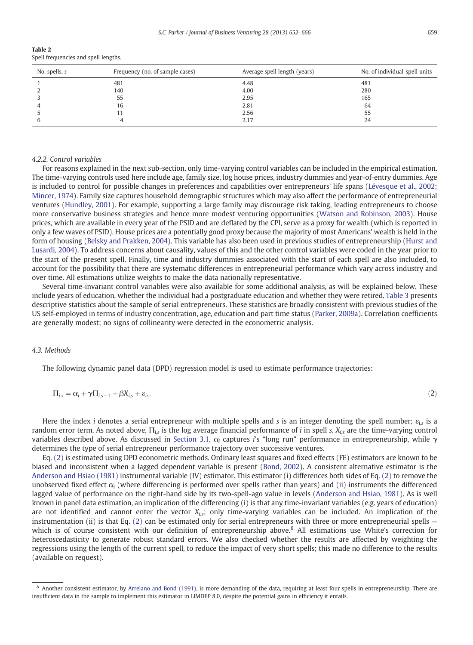<span id="page-7-0"></span>

| <b>Table 2</b>                       |  |
|--------------------------------------|--|
| Spell frequencies and spell lengths. |  |

| No. spells, s | Frequency (no. of sample cases) | Average spell length (years) | No. of individual-spell units |
|---------------|---------------------------------|------------------------------|-------------------------------|
|               | 481                             | 4.48                         | 481                           |
|               | 140                             | 4.00                         | 280                           |
|               | 55                              | 2.95                         | 165                           |
|               | 16                              | 2.81                         | 64                            |
|               | ш                               | 2.56                         | 55                            |
|               |                                 | 2.17                         | 24                            |

#### 4.2.2. Control variables

For reasons explained in the next sub-section, only time-varying control variables can be included in the empirical estimation. The time-varying controls used here include age, family size, log house prices, industry dummies and year-of-entry dummies. Age is included to control for possible changes in preferences and capabilities over entrepreneurs' life spans ([Lévesque et al., 2002;](#page-13-0) [Mincer, 1974](#page-13-0)). Family size captures household demographic structures which may also affect the performance of entrepreneurial ventures ([Hundley, 2001](#page-13-0)). For example, supporting a large family may discourage risk taking, leading entrepreneurs to choose more conservative business strategies and hence more modest venturing opportunities ([Watson and Robinson, 2003](#page-14-0)). House prices, which are available in every year of the PSID and are deflated by the CPI, serve as a proxy for wealth (which is reported in only a few waves of PSID). House prices are a potentially good proxy because the majority of most Americans' wealth is held in the form of housing [\(Belsky and Prakken, 2004\)](#page-13-0). This variable has also been used in previous studies of entrepreneurship [\(Hurst and](#page-13-0) [Lusardi, 2004](#page-13-0)). To address concerns about causality, values of this and the other control variables were coded in the year prior to the start of the present spell. Finally, time and industry dummies associated with the start of each spell are also included, to account for the possibility that there are systematic differences in entrepreneurial performance which vary across industry and over time. All estimations utilize weights to make the data nationally representative.

Several time-invariant control variables were also available for some additional analysis, as will be explained below. These include years of education, whether the individual had a postgraduate education and whether they were retired. [Table 3](#page-8-0) presents descriptive statistics about the sample of serial entrepreneurs. These statistics are broadly consistent with previous studies of the US self-employed in terms of industry concentration, age, education and part time status [\(Parker, 2009a](#page-14-0)). Correlation coefficients are generally modest; no signs of collinearity were detected in the econometric analysis.

#### 4.3. Methods

The following dynamic panel data (DPD) regression model is used to estimate performance trajectories:

$$
\Pi_{i,s} = \alpha_i + \gamma \Pi_{i,s-1} + \beta X_{i,s} + \varepsilon_{is}.\tag{2}
$$

Here the index i denotes a serial entrepreneur with multiple spells and s is an integer denoting the spell number;  $\varepsilon_{i,s}$  is a random error term. As noted above,  $\Pi_{is}$  is the log average financial performance of *i* in spell s.  $X_{is}$  are the time-varying control variables described above. As discussed in [Section 3.1,](#page-2-0)  $\alpha_i$  captures i's "long run" performance in entrepreneurship, while  $\gamma$ determines the type of serial entrepreneur performance trajectory over successive ventures.

Eq. (2) is estimated using DPD econometric methods. Ordinary least squares and fixed effects (FE) estimators are known to be biased and inconsistent when a lagged dependent variable is present ([Bond, 2002\)](#page-13-0). A consistent alternative estimator is the [Anderson and Hsiao \(1981\)](#page-12-0) instrumental variable (IV) estimator. This estimator (i) differences both sides of Eq. (2) to remove the unobserved fixed effect  $\alpha_i$  (where differencing is performed over spells rather than years) and (ii) instruments the differenced lagged value of performance on the right-hand side by its two-spell-ago value in levels ([Anderson and Hsiao, 1981](#page-12-0)). As is well known in panel data estimation, an implication of the differencing (i) is that any time-invariant variables (e.g. years of education) are not identified and cannot enter the vector  $X_{i,s}$ ; only time-varying variables can be included. An implication of the instrumentation (ii) is that Eq.  $(2)$  can be estimated only for serial entrepreneurs with three or more entrepreneurial spells  $$ which is of course consistent with our definition of entrepreneurship above.<sup>8</sup> All estimations use White's correction for heteroscedasticity to generate robust standard errors. We also checked whether the results are affected by weighting the regressions using the length of the current spell, to reduce the impact of very short spells; this made no difference to the results (available on request).

<sup>&</sup>lt;sup>8</sup> Another consistent estimator, by [Arrelano and Bond \(1991\),](#page-12-0) is more demanding of the data, requiring at least four spells in entrepreneurship. There are insufficient data in the sample to implement this estimator in LIMDEP 8.0, despite the potential gains in efficiency it entails.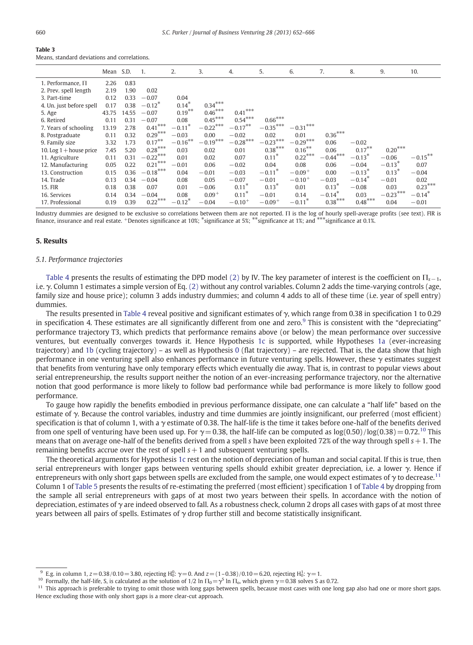<span id="page-8-0"></span>

| Table 3                                      |  |  |
|----------------------------------------------|--|--|
| Means, standard deviations and correlations. |  |  |

|                           | Mean S.D. |       | -1.        | 2.                   | 3.         | 4.          | 5.                   | 6.                   | 7.                   | 8.                   | 9.                   | 10.        |
|---------------------------|-----------|-------|------------|----------------------|------------|-------------|----------------------|----------------------|----------------------|----------------------|----------------------|------------|
| 1. Performance, $\Pi$     | 2.26      | 0.83  |            |                      |            |             |                      |                      |                      |                      |                      |            |
| 2. Prev. spell length     | 2.19      | 1.90  | 0.02       |                      |            |             |                      |                      |                      |                      |                      |            |
| 3. Part-time              | 0.12      | 0.33  | $-0.07$    | 0.04                 |            |             |                      |                      |                      |                      |                      |            |
| 4. Un. just before spell  | 0.17      | 0.38  | $-0.12^*$  | $0.14*$              | $0.34***$  |             |                      |                      |                      |                      |                      |            |
| 5. Age                    | 43.75     | 14.55 | $-0.07$    | $0.19***$            | $0.46***$  | $0.41***$   |                      |                      |                      |                      |                      |            |
| 6. Retired                | 0.11      | 0.31  | $-0.07$    | 0.08                 | $0.45***$  | $0.54***$   | $0.66***$            |                      |                      |                      |                      |            |
| 7. Years of schooling     | 13.19     | 2.78  | $0.41***$  | $-0.11$ <sup>*</sup> | $-0.22***$ | $-0.17***$  | $-0.35***$           | $-0.31***$           |                      |                      |                      |            |
| 8. Postgraduate           | 0.11      | 0.32  | $0.29***$  | $-0.03$              | 0.00       | $-0.02$     | 0.02                 | 0.01                 | $0.36***$            |                      |                      |            |
| 9. Family size            | 3.32      | 1.73  | $0.17***$  | $-0.16***$           | $-0.19***$ | $-0.28***$  | $-0.23***$           | $-0.29***$           | 0.06                 | $-0.02$              |                      |            |
| 10. Log $1 +$ house price | 7.45      | 5.20  | $0.28***$  | 0.03                 | 0.02       | 0.01        | $0.38***$            | $0.16***$            | 0.06                 | $0.17***$            | $0.20***$            |            |
| 11. Agriculture           | 0.11      | 0.31  | $-0.22***$ | 0.01                 | 0.02       | 0.07        | $0.11*$              | $0.22***$            | $-0.44***$           | $-0.13*$             | $-0.06$              | $-0.15***$ |
| 12. Manufacturing         | 0.05      | 0.22  | $0.21***$  | $-0.01$              | 0.06       | $-0.02$     | 0.04                 | 0.08                 | 0.06                 | $-0.04$              | $-0.13$ <sup>*</sup> | 0.07       |
| 13. Construction          | 0.15      | 0.36  | $-0.18***$ | 0.04                 | $-0.01$    | $-0.03$     | $-0.11$ <sup>*</sup> | $-0.09+$             | 0.00                 | $-0.13$ <sup>*</sup> | $0.13*$              | $-0.04$    |
| 14. Trade                 | 0.13      | 0.34  | $-0.04$    | 0.08                 | 0.05       | $-0.07$     | $-0.01$              | $-0.10^{+}$          | $-0.03$              | $-0.14$ <sup>*</sup> | $-0.01$              | 0.02       |
| 15. FIR                   | 0.18      | 0.38  | 0.07       | 0.01                 | $-0.06$    | $0.11*$     | $0.13*$              | 0.01                 | $0.13*$              | $-0.08$              | 0.03                 | $0.23***$  |
| 16. Services              | 0.14      | 0.34  | $-0.04$    | 0.08                 | $0.09^{+}$ | $0.11*$     | $-0.01$              | 0.14                 | $-0.14$ <sup>*</sup> | 0.03                 | $-0.23***$           | $-0.14*$   |
| 17. Professional          | 0.19      | 0.39  | $0.22***$  | $-0.12$ <sup>*</sup> | $-0.04$    | $-0.10^{+}$ | $-0.09+$             | $-0.11$ <sup>*</sup> | $0.38***$            | $0.48***$            | 0.04                 | $-0.01$    |

Industry dummies are designed to be exclusive so correlations between them are not reported. Π is the log of hourly spell-average profits (see text). FIR is finance, insurance and real estate. +Denotes significance at 10%;  $*$ significance at 5%;  $**$ significance at 1%; and  $***$ significance at 0.1%.

#### 5. Results

#### 5.1. Performance trajectories

[Table 4](#page-9-0) presents the results of estimating the DPD model [\(2\)](#page-7-0) by IV. The key parameter of interest is the coefficient on  $\Pi_{s-1}$ , i.e. γ. Column 1 estimates a simple version of Eq. [\(2\)](#page-7-0) without any control variables. Column 2 adds the time-varying controls (age, family size and house price); column 3 adds industry dummies; and column 4 adds to all of these time (i.e. year of spell entry) dummies.

The results presented in [Table 4](#page-9-0) reveal positive and significant estimates of γ, which range from 0.38 in specification 1 to 0.29 in specification 4. These estimates are all significantly different from one and zero.<sup>9</sup> This is consistent with the "depreciating" performance trajectory T3, which predicts that performance remains above (or below) the mean performance over successive ventures, but eventually converges towards it. Hence Hypothesis [1c](#page-5-0) is supported, while Hypotheses [1a](#page-4-0) (ever-increasing trajectory) and [1b](#page-4-0) (cycling trajectory) – as well as Hypothesis [0](#page-3-0) (flat trajectory) – are rejected. That is, the data show that high performance in one venturing spell also enhances performance in future venturing spells. However, these  $\gamma$  estimates suggest that benefits from venturing have only temporary effects which eventually die away. That is, in contrast to popular views about serial entrepreneurship, the results support neither the notion of an ever-increasing performance trajectory, nor the alternative notion that good performance is more likely to follow bad performance while bad performance is more likely to follow good performance.

To gauge how rapidly the benefits embodied in previous performance dissipate, one can calculate a "half life" based on the estimate of γ. Because the control variables, industry and time dummies are jointly insignificant, our preferred (most efficient) specification is that of column 1, with a  $\gamma$  estimate of 0.38. The half-life is the time it takes before one-half of the benefits derived from one spell of venturing have been used up. For  $\gamma = 0.38$ , the half-life can be computed as  $\log(0.50) / \log(0.38) = 0.72$ .<sup>10</sup> This means that on average one-half of the benefits derived from a spell s have been exploited 72% of the way through spell  $s + 1$ . The remaining benefits accrue over the rest of spell  $s + 1$  and subsequent venturing spells.

The theoretical arguments for Hypothesis [1c](#page-5-0) rest on the notion of depreciation of human and social capital. If this is true, then serial entrepreneurs with longer gaps between venturing spells should exhibit greater depreciation, i.e. a lower γ. Hence if entrepreneurs with only short gaps between spells are excluded from the sample, one would expect estimates of  $\gamma$  to decrease.<sup>11</sup> Column 1 of [Table 5](#page-9-0) presents the results of re-estimating the preferred (most efficient) specification 1 of [Table 4](#page-9-0) by dropping from the sample all serial entrepreneurs with gaps of at most two years between their spells. In accordance with the notion of depreciation, estimates of  $\gamma$  are indeed observed to fall. As a robustness check, column 2 drops all cases with gaps of at most three years between all pairs of spells. Estimates of  $\gamma$  drop further still and become statistically insignificant.

<sup>&</sup>lt;sup>9</sup> E.g. in column 1, z = 0.38 / 0.10 = 3.80, rejecting H<sub>0</sub>:  $\gamma$  = 0. And z = (1-0.38) / 0.10 = 6.20, rejecting H<sub>0</sub>:  $\gamma$  = 1.

<sup>&</sup>lt;sup>10</sup> Formally, the half-life, S, is calculated as the solution of 1/2 ln  $\Pi_0 = \gamma^S \ln \Pi_0$ , which given  $\gamma = 0.38$  solves S as 0.72.<br><sup>11</sup> This approach is preferable to trying to omit those with long gaps between spells, Hence excluding those with only short gaps is a more clear-cut approach.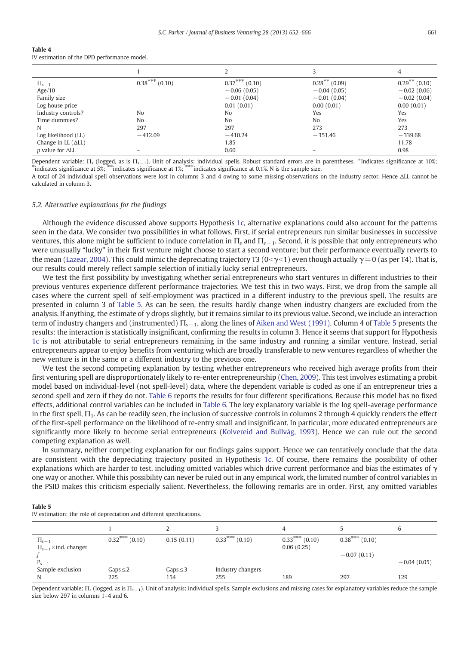<span id="page-9-0"></span>

| Table 4 |                                             |  |
|---------|---------------------------------------------|--|
|         | IV estimation of the DPD performance model. |  |

|                            |                          |                  |                 | 4                             |
|----------------------------|--------------------------|------------------|-----------------|-------------------------------|
| $\Pi_{s-1}$                | $0.38***$<br>(0.10)      | $0.37***$ (0.10) | $0.28***(0.09)$ | $0.29$ <sup>**</sup> $(0.10)$ |
| Age/10                     |                          | $-0.06(0.05)$    | $-0.04(0.05)$   | $-0.02(0.06)$                 |
| Family size                |                          | $-0.01(0.04)$    | $-0.01(0.04)$   | $-0.02(0.04)$                 |
| Log house price            |                          | 0.01(0.01)       | 0.00(0.01)      | 0.00(0.01)                    |
| Industry controls?         | N <sub>0</sub>           | N <sub>0</sub>   | Yes             | Yes                           |
| Time dummies?              | N <sub>0</sub>           | N <sub>0</sub>   | N <sub>0</sub>  | Yes                           |
| N                          | 297                      | 297              | 273             | 273                           |
| Log likelihood (LL)        | $-412.09$                | $-410.24$        | $-351.46$       | $-339.68$                     |
| Change in LL $(\Delta LL)$ | $\overline{\phantom{0}}$ | 1.85             |                 | 11.78                         |
| $p$ value for $\Delta L$   |                          | 0.60             |                 | 0.98                          |

Dependent variable:  $\Pi_s$  (logged, as is  $\Pi_{s-1}$ ). Unit of analysis: individual spells. Robust standard errors are in parentheses. +Indicates significance at 10%;  $*$ indicates significance at 5%;  $**$ indicates significance at 1%;  $**$ indicates significance at 0.1%. N is the sample size.

A total of 24 individual spell observations were lost in columns 3 and 4 owing to some missing observations on the industry sector. Hence ΔLL cannot be calculated in column 3.

#### 5.2. Alternative explanations for the findings

Although the evidence discussed above supports Hypothesis [1c,](#page-5-0) alternative explanations could also account for the patterns seen in the data. We consider two possibilities in what follows. First, if serial entrepreneurs run similar businesses in successive ventures, this alone might be sufficient to induce correlation in  $\Pi_s$  and  $\Pi_{s-1}$ . Second, it is possible that only entrepreneurs who were unusually "lucky" in their first venture might choose to start a second venture; but their performance eventually reverts to the mean [\(Lazear, 2004](#page-13-0)). This could mimic the depreciating trajectory T3 (0< $\gamma$ <1) even though actually  $\gamma$  = 0 (as per T4). That is, our results could merely reflect sample selection of initially lucky serial entrepreneurs.

We test the first possibility by investigating whether serial entrepreneurs who start ventures in different industries to their previous ventures experience different performance trajectories. We test this in two ways. First, we drop from the sample all cases where the current spell of self-employment was practiced in a different industry to the previous spell. The results are presented in column 3 of Table 5. As can be seen, the results hardly change when industry changers are excluded from the analysis. If anything, the estimate of  $\gamma$  drops slightly, but it remains similar to its previous value. Second, we include an interaction term of industry changers and (instrumented)  $\Pi_{s-1}$ , along the lines of [Aiken and West \(1991\).](#page-12-0) Column 4 of Table 5 presents the results: the interaction is statistically insignificant, confirming the results in column 3. Hence it seems that support for Hypothesis [1c](#page-5-0) is not attributable to serial entrepreneurs remaining in the same industry and running a similar venture. Instead, serial entrepreneurs appear to enjoy benefits from venturing which are broadly transferable to new ventures regardless of whether the new venture is in the same or a different industry to the previous one.

We test the second competing explanation by testing whether entrepreneurs who received high average profits from their first venturing spell are disproportionately likely to re-enter entrepreneurship [\(Chen, 2009\)](#page-13-0). This test involves estimating a probit model based on individual-level (not spell-level) data, where the dependent variable is coded as one if an entrepreneur tries a second spell and zero if they do not. [Table 6](#page-10-0) reports the results for four different specifications. Because this model has no fixed effects, additional control variables can be included in [Table 6](#page-10-0). The key explanatory variable is the log spell-average performance in the first spell,  $\Pi_1$ . As can be readily seen, the inclusion of successive controls in columns 2 through 4 quickly renders the effect of the first-spell performance on the likelihood of re-entry small and insignificant. In particular, more educated entrepreneurs are significantly more likely to become serial entrepreneurs [\(Kolvereid and Bullvåg, 1993](#page-13-0)). Hence we can rule out the second competing explanation as well.

In summary, neither competing explanation for our findings gains support. Hence we can tentatively conclude that the data are consistent with the depreciating trajectory posited in Hypothesis [1c](#page-5-0). Of course, there remains the possibility of other explanations which are harder to test, including omitted variables which drive current performance and bias the estimates of  $\gamma$ one way or another. While this possibility can never be ruled out in any empirical work, the limited number of control variables in the PSID makes this criticism especially salient. Nevertheless, the following remarks are in order. First, any omitted variables

#### Table 5

IV estimation: the role of depreciation and different specifications.

|                                 |                          |               |                   | 4               |                 |               |
|---------------------------------|--------------------------|---------------|-------------------|-----------------|-----------------|---------------|
| $\Pi_{s-1}$                     | $0.32***(0.10)$          | 0.15(0.11)    | $0.33***(0.10)$   | $0.33***(0.10)$ | $0.38***(0.10)$ |               |
| $\Pi_{s-1} \times$ ind. changer |                          |               |                   | 0.06(0.25)      | $-0.07(0.11)$   |               |
| $P_{s-1}$                       |                          |               |                   |                 |                 | $-0.04(0.05)$ |
| Sample exclusion                | $\mathsf{Gaps}\!\leq\!2$ | $Gaps \leq 3$ | Industry changers |                 |                 |               |
|                                 | 225                      | 154           | 255               | 189             | 297             | 129           |

Dependent variable:  $\Pi_s$  (logged, as is  $\Pi_{s-1}$ ). Unit of analysis: individual spells. Sample exclusions and missing cases for explanatory variables reduce the sample size below 297 in columns 1–4 and 6.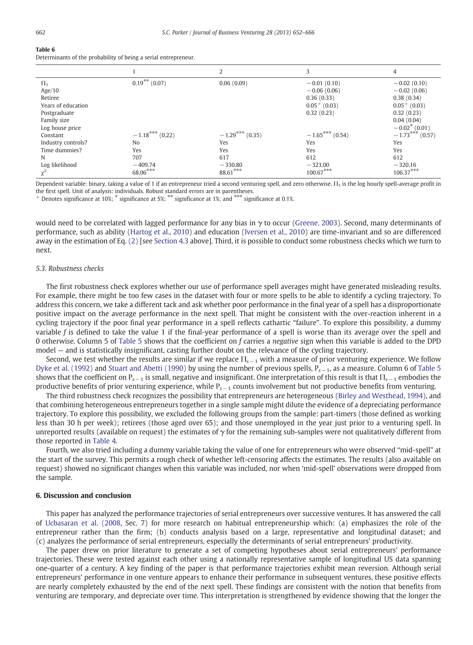#### <span id="page-10-0"></span>Table 6

Determinants of the probability of being a serial entrepreneur.

|                    |                   | 2                 | 3                 | 4                           |
|--------------------|-------------------|-------------------|-------------------|-----------------------------|
| $\Pi_1$            | $0.19***(0.07)$   | 0.06(0.09)        | $-0.01(0.10)$     | $-0.02(0.10)$               |
| Age/10             |                   |                   | $-0.06(0.06)$     | $-0.02(0.06)$               |
| Retiree            |                   |                   | 0.36(0.33)        | 0.38(0.34)                  |
| Years of education |                   |                   | $0.05^{+}$ (0.03) | $0.05^{+}$ (0.03)           |
| Postgraduate       |                   |                   | 0.32(0.23)        | 0.32(0.23)                  |
| Family size        |                   |                   |                   | 0.04(0.04)                  |
| Log house price    |                   |                   |                   | $-0.02$ <sup>*</sup> (0.01) |
| Constant           | $-1.18***$ (0.22) | $-1.29***$ (0.35) | $-1.65***(0.54)$  | $-1.73***$ (0.57)           |
| Industry controls? | N <sub>o</sub>    | Yes               | Yes               | Yes                         |
| Time dummies?      | Yes               | Yes               | Yes               | Yes                         |
| N                  | 707               | 617               | 612               | 612                         |
| Log likelihood     | $-409.74$         | $-330.80$         | $-323.00$         | $-320.16$                   |
| $\gamma^2$         | 68.06***          | $88.61***$        | $100.67***$       | $106.37***$                 |

Dependent variable: binary, taking a value of 1 if an entrepreneur tried a second venturing spell, and zero otherwise.  $\Pi_1$  is the log hourly spell-average profit in the first spell. Unit of analysis: individuals. Robust standard errors are in parentheses.

 $^+$  Denotes significance at 10%;  $^*$  significance at 5%;  $^{**}$  significance at 1%; and  $^{***}$  significance at 0.1%.

would need to be correlated with lagged performance for any bias in  $\gamma$  to occur ([Greene, 2003](#page-13-0)). Second, many determinants of performance, such as ability [\(Hartog et al., 2010\)](#page-13-0) and education ([Iversen et al., 2010\)](#page-13-0) are time-invariant and so are differenced away in the estimation of Eq. [\(2\)](#page-7-0) [see [Section 4.3](#page-7-0) above]. Third, it is possible to conduct some robustness checks which we turn to next.

#### 5.3. Robustness checks

The first robustness check explores whether our use of performance spell averages might have generated misleading results. For example, there might be too few cases in the dataset with four or more spells to be able to identify a cycling trajectory. To address this concern, we take a different tack and ask whether poor performance in the final year of a spell has a disproportionate positive impact on the average performance in the next spell. That might be consistent with the over-reaction inherent in a cycling trajectory if the poor final year performance in a spell reflects cathartic "failure". To explore this possibility, a dummy variable  $f$  is defined to take the value 1 if the final-year performance of a spell is worse than its average over the spell and 0 otherwise. Column 5 of [Table 5](#page-9-0) shows that the coefficient on  $f$  carries a negative sign when this variable is added to the DPD model — and is statistically insignificant, casting further doubt on the relevance of the cycling trajectory.

Second, we test whether the results are similar if we replace  $\Pi_{s-1}$  with a measure of prior venturing experience. We follow [Dyke et al. \(1992\)](#page-13-0) and [Stuart and Abetti \(1990\)](#page-14-0) by using the number of previous spells, P<sub>s−1</sub>, as a measure. Column 6 of [Table 5](#page-9-0) shows that the coefficient on P<sub>s−1</sub> is small, negative and insignificant. One interpretation of this result is that  $\Pi_{s-1}$  embodies the productive benefits of prior venturing experience, while Ps−<sup>1</sup> counts involvement but not productive benefits from venturing.

The third robustness check recognizes the possibility that entrepreneurs are heterogeneous [\(Birley and Westhead, 1994\)](#page-13-0), and that combining heterogeneous entrepreneurs together in a single sample might dilute the evidence of a depreciating performance trajectory. To explore this possibility, we excluded the following groups from the sample: part-timers (those defined as working less than 30 h per week); retirees (those aged over 65); and those unemployed in the year just prior to a venturing spell. In unreported results (available on request) the estimates of  $\gamma$  for the remaining sub-samples were not qualitatively different from those reported in [Table 4](#page-9-0).

Fourth, we also tried including a dummy variable taking the value of one for entrepreneurs who were observed "mid-spell" at the start of the survey. This permits a rough check of whether left-censoring affects the estimates. The results (also available on request) showed no significant changes when this variable was included, nor when 'mid-spell' observations were dropped from the sample.

#### 6. Discussion and conclusion

This paper has analyzed the performance trajectories of serial entrepreneurs over successive ventures. It has answered the call of [Ucbasaran et al. \(2008,](#page-14-0) Sec. 7) for more research on habitual entrepreneurship which: (a) emphasizes the role of the entrepreneur rather than the firm; (b) conducts analysis based on a large, representative and longitudinal dataset; and (c) analyzes the performance of serial entrepreneurs, especially the determinants of serial entrepreneurs' productivity.

The paper drew on prior literature to generate a set of competing hypotheses about serial entrepreneurs' performance trajectories. These were tested against each other using a nationally representative sample of longitudinal US data spanning one-quarter of a century. A key finding of the paper is that performance trajectories exhibit mean reversion. Although serial entrepreneurs' performance in one venture appears to enhance their performance in subsequent ventures, these positive effects are nearly completely exhausted by the end of the next spell. These findings are consistent with the notion that benefits from venturing are temporary, and depreciate over time. This interpretation is strengthened by evidence showing that the longer the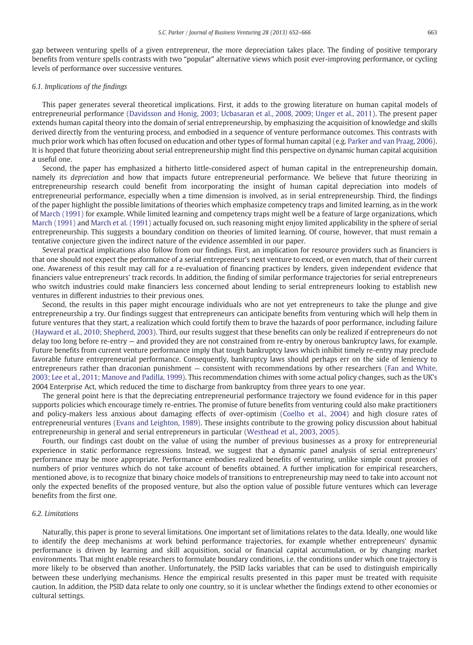gap between venturing spells of a given entrepreneur, the more depreciation takes place. The finding of positive temporary benefits from venture spells contrasts with two "popular" alternative views which posit ever-improving performance, or cycling levels of performance over successive ventures.

#### 6.1. Implications of the findings

This paper generates several theoretical implications. First, it adds to the growing literature on human capital models of entrepreneurial performance ([Davidsson and Honig, 2003; Ucbasaran et al., 2008, 2009; Unger et al., 2011](#page-13-0)). The present paper extends human capital theory into the domain of serial entrepreneurship, by emphasizing the acquisition of knowledge and skills derived directly from the venturing process, and embodied in a sequence of venture performance outcomes. This contrasts with much prior work which has often focused on education and other types of formal human capital (e.g. [Parker and van Praag, 2006\)](#page-14-0). It is hoped that future theorizing about serial entrepreneurship might find this perspective on dynamic human capital acquisition a useful one.

Second, the paper has emphasized a hitherto little-considered aspect of human capital in the entrepreneurship domain, namely its depreciation and how that impacts future entrepreneurial performance. We believe that future theorizing in entrepreneurship research could benefit from incorporating the insight of human capital depreciation into models of entrepreneurial performance, especially when a time dimension is involved, as in serial entrepreneurship. Third, the findings of the paper highlight the possible limitations of theories which emphasize competency traps and limited learning, as in the work of [March \(1991\)](#page-13-0) for example. While limited learning and competency traps might well be a feature of large organizations, which [March \(1991\)](#page-13-0) and [March et al. \(1991\)](#page-13-0) actually focused on, such reasoning might enjoy limited applicability in the sphere of serial entrepreneurship. This suggests a boundary condition on theories of limited learning. Of course, however, that must remain a tentative conjecture given the indirect nature of the evidence assembled in our paper.

Several practical implications also follow from our findings. First, an implication for resource providers such as financiers is that one should not expect the performance of a serial entrepreneur's next venture to exceed, or even match, that of their current one. Awareness of this result may call for a re-evaluation of financing practices by lenders, given independent evidence that financiers value entrepreneurs' track records. In addition, the finding of similar performance trajectories for serial entrepreneurs who switch industries could make financiers less concerned about lending to serial entrepreneurs looking to establish new ventures in different industries to their previous ones.

Second, the results in this paper might encourage individuals who are not yet entrepreneurs to take the plunge and give entrepreneurship a try. Our findings suggest that entrepreneurs can anticipate benefits from venturing which will help them in future ventures that they start, a realization which could fortify them to brave the hazards of poor performance, including failure [\(Hayward et al., 2010; Shepherd, 2003](#page-13-0)). Third, our results suggest that these benefits can only be realized if entrepreneurs do not delay too long before re-entry — and provided they are not constrained from re-entry by onerous bankruptcy laws, for example. Future benefits from current venture performance imply that tough bankruptcy laws which inhibit timely re-entry may preclude favorable future entrepreneurial performance. Consequently, bankruptcy laws should perhaps err on the side of leniency to entrepreneurs rather than draconian punishment — consistent with recommendations by other researchers ([Fan and White,](#page-13-0) [2003; Lee et al., 2011; Manove and Padilla, 1999\)](#page-13-0). This recommendation chimes with some actual policy changes, such as the UK's 2004 Enterprise Act, which reduced the time to discharge from bankruptcy from three years to one year.

The general point here is that the depreciating entrepreneurial performance trajectory we found evidence for in this paper supports policies which encourage timely re-entries. The promise of future benefits from venturing could also make practitioners and policy-makers less anxious about damaging effects of over-optimism ([Coelho et al., 2004](#page-13-0)) and high closure rates of entrepreneurial ventures ([Evans and Leighton, 1989](#page-13-0)). These insights contribute to the growing policy discussion about habitual entrepreneurship in general and serial entrepreneurs in particular [\(Westhead et al., 2003, 2005\)](#page-14-0).

Fourth, our findings cast doubt on the value of using the number of previous businesses as a proxy for entrepreneurial experience in static performance regressions. Instead, we suggest that a dynamic panel analysis of serial entrepreneurs' performance may be more appropriate. Performance embodies realized benefits of venturing, unlike simple count proxies of numbers of prior ventures which do not take account of benefits obtained. A further implication for empirical researchers, mentioned above, is to recognize that binary choice models of transitions to entrepreneurship may need to take into account not only the expected benefits of the proposed venture, but also the option value of possible future ventures which can leverage benefits from the first one.

#### 6.2. Limitations

Naturally, this paper is prone to several limitations. One important set of limitations relates to the data. Ideally, one would like to identify the deep mechanisms at work behind performance trajectories, for example whether entrepreneurs' dynamic performance is driven by learning and skill acquisition, social or financial capital accumulation, or by changing market environments. That might enable researchers to formulate boundary conditions, i.e. the conditions under which one trajectory is more likely to be observed than another. Unfortunately, the PSID lacks variables that can be used to distinguish empirically between these underlying mechanisms. Hence the empirical results presented in this paper must be treated with requisite caution. In addition, the PSID data relate to only one country, so it is unclear whether the findings extend to other economies or cultural settings.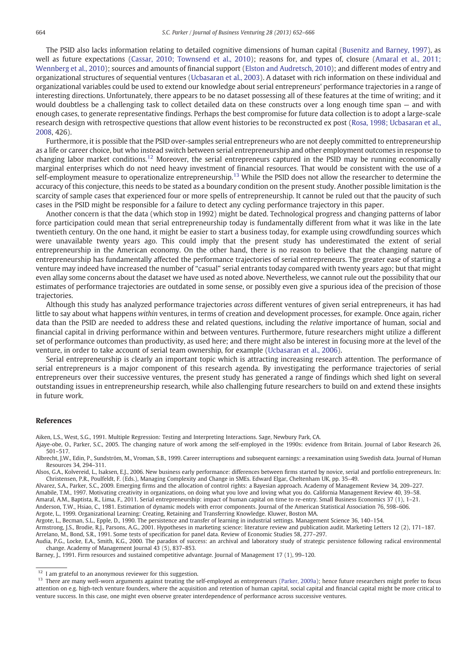<span id="page-12-0"></span>The PSID also lacks information relating to detailed cognitive dimensions of human capital ([Busenitz and Barney, 1997\)](#page-13-0), as well as future expectations [\(Cassar, 2010; Townsend et al., 2010](#page-13-0)); reasons for, and types of, closure (Amaral et al., 2011; Wennberg et al., 2010); sources and amounts of financial support [\(Elston and Audretsch, 2010\)](#page-13-0); and different modes of entry and organizational structures of sequential ventures ([Ucbasaran et al., 2003](#page-14-0)). A dataset with rich information on these individual and organizational variables could be used to extend our knowledge about serial entrepreneurs' performance trajectories in a range of interesting directions. Unfortunately, there appears to be no dataset possessing all of these features at the time of writing; and it would doubtless be a challenging task to collect detailed data on these constructs over a long enough time span — and with enough cases, to generate representative findings. Perhaps the best compromise for future data collection is to adopt a large-scale research design with retrospective questions that allow event histories to be reconstructed ex post ([Rosa, 1998; Ucbasaran et al.,](#page-14-0) [2008](#page-14-0), 426).

Furthermore, it is possible that the PSID over-samples serial entrepreneurs who are not deeply committed to entrepreneurship as a life or career choice, but who instead switch between serial entrepreneurship and other employment outcomes in response to changing labor market conditions.<sup>12</sup> Moreover, the serial entrepreneurs captured in the PSID may be running economically marginal enterprises which do not need heavy investment of financial resources. That would be consistent with the use of a self-employment measure to operationalize entrepreneurship.<sup>13</sup> While the PSID does not allow the researcher to determine the accuracy of this conjecture, this needs to be stated as a boundary condition on the present study. Another possible limitation is the scarcity of sample cases that experienced four or more spells of entrepreneurship. It cannot be ruled out that the paucity of such cases in the PSID might be responsible for a failure to detect any cycling performance trajectory in this paper.

Another concern is that the data (which stop in 1992) might be dated. Technological progress and changing patterns of labor force participation could mean that serial entrepreneurship today is fundamentally different from what it was like in the late twentieth century. On the one hand, it might be easier to start a business today, for example using crowdfunding sources which were unavailable twenty years ago. This could imply that the present study has underestimated the extent of serial entrepreneurship in the American economy. On the other hand, there is no reason to believe that the changing nature of entrepreneurship has fundamentally affected the performance trajectories of serial entrepreneurs. The greater ease of starting a venture may indeed have increased the number of "casual" serial entrants today compared with twenty years ago; but that might even allay some concerns about the dataset we have used as noted above. Nevertheless, we cannot rule out the possibility that our estimates of performance trajectories are outdated in some sense, or possibly even give a spurious idea of the precision of those trajectories.

Although this study has analyzed performance trajectories across different ventures of given serial entrepreneurs, it has had little to say about what happens within ventures, in terms of creation and development processes, for example. Once again, richer data than the PSID are needed to address these and related questions, including the relative importance of human, social and financial capital in driving performance within and between ventures. Furthermore, future researchers might utilize a different set of performance outcomes than productivity, as used here; and there might also be interest in focusing more at the level of the venture, in order to take account of serial team ownership, for example [\(Ucbasaran et al., 2006\)](#page-14-0).

Serial entrepreneurship is clearly an important topic which is attracting increasing research attention. The performance of serial entrepreneurs is a major component of this research agenda. By investigating the performance trajectories of serial entrepreneurs over their successive ventures, the present study has generated a range of findings which shed light on several outstanding issues in entrepreneurship research, while also challenging future researchers to build on and extend these insights in future work.

#### References

Aiken, L.S., West, S.G., 1991. Multiple Regression: Testing and Interpreting Interactions. Sage, Newbury Park, CA.

Ajaye-obe, O., Parker, S.C., 2005. The changing nature of work among the self-employed in the 1990s: evidence from Britain. Journal of Labor Research 26, 501–517.

Albrecht, J.W., Edin, P., Sundström, M., Vroman, S.B., 1999. Career interruptions and subsequent earnings: a reexamination using Swedish data. Journal of Human Resources 34, 294–311.

Alsos, G.A., Kolvereid, L., Isaksen, E.J., 2006. New business early performance: differences between firms started by novice, serial and portfolio entrepreneurs. In: Christensen, P.R., Poulfeldt, F. (Eds.), Managing Complexity and Change in SMEs. Edward Elgar, Cheltenham UK, pp. 35–49.

Alvarez, S.A., Parker, S.C., 2009. Emerging firms and the allocation of control rights: a Bayesian approach. Academy of Management Review 34, 209–227.

Amabile, T.M., 1997. Motivating creativity in organizations, on doing what you love and loving what you do. California Management Review 40, 39–58.

Amaral, A.M., Baptista, R., Lima, F., 2011. Serial entrepreneurship: impact of human capital on time to re-entry. Small Business Economics 37 (1), 1–21.

Anderson, T.W., Hsiao, C., 1981. Estimation of dynamic models with error components. Journal of the American Statistical Association 76, 598–606.

Argote, L., 1999. Organizational Learning: Creating, Retaining and Transferring Knowledge. Kluwer, Boston MA.

Argote, L., Becman, S.L., Epple, D., 1990. The persistence and transfer of learning in industrial settings. Management Science 36, 140–154.

Armstrong, J.S., Brodie, R.J., Parsons, A.G., 2001. Hypotheses in marketing science: literature review and publication audit. Marketing Letters 12 (2), 171–187. Arrelano, M., Bond, S.R., 1991. Some tests of specification for panel data. Review of Economic Studies 58, 277–297.

Audia, P.G., Locke, E.A., Smith, K.G., 2000. The paradox of success: an archival and laboratory study of strategic persistence following radical environmental change. Academy of Management Journal 43 (5), 837–853.

Barney, J., 1991. Firm resources and sustained competitive advantage. Journal of Management 17 (1), 99–120.

 $12$  I am grateful to an anonymous reviewer for this suggestion.

<sup>&</sup>lt;sup>13</sup> There are many well-worn arguments against treating the self-employed as entrepreneurs ([Parker, 2009a\)](#page-14-0); hence future researchers might prefer to focus attention on e.g. high-tech venture founders, where the acquisition and retention of human capital, social capital and financial capital might be more critical to venture success. In this case, one might even observe greater interdependence of performance across successive ventures.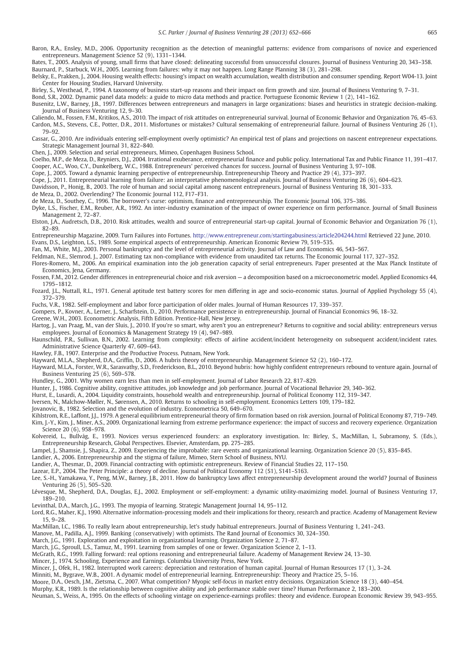<span id="page-13-0"></span>Baron, R.A., Ensley, M.D., 2006. Opportunity recognition as the detection of meaningful patterns: evidence from comparisons of novice and experienced entrepreneurs. Management Science 52 (9), 1331–1344.

Bates, T., 2005. Analysis of young, small firms that have closed: delineating successful from unsuccessful closures. Journal of Business Venturing 20, 343–358. Baurnard, P., Starbuck, W.H., 2005. Learning from failures: why it may not happen. Long Range Planning 38 (3), 281–298.

Belsky, E., Prakken, J., 2004. Housing wealth effects: housing's impact on wealth accumulation, wealth distribution and consumer spending. Report W04-13. Joint Center for Housing Studies, Harvard University.

Birley, S., Westhead, P., 1994. A taxonomy of business start-up reasons and their impact on firm growth and size. Journal of Business Venturing 9, 7-31.

Bond, S.R., 2002. Dynamic panel data models: a guide to micro data methods and practice. Portuguese Economic Review 1 (2), 141–162.

Busenitz, L.W., Barney, J.B., 1997. Differences between entrepreneurs and managers in large organizations: biases and heuristics in strategic decision-making. Journal of Business Venturing 12, 9–30.

Caliendo, M., Fossen, F.M., Kritikos, A.S., 2010. The impact of risk attitudes on entrepreneurial survival. Journal of Economic Behavior and Organization 76, 45–63. Cardon, M.S., Stevens, C.E., Potter, D.R., 2011. Misfortunes or mistakes? Cultural sensemaking of entrepreneurial failure. Journal of Business Venturing 26 (1), 79–92.

Cassar, G., 2010. Are individuals entering self-employment overly optimistic? An empirical test of plans and projections on nascent entrepreneur expectations. Strategic Management Journal 31, 822–840.

Chen, J., 2009. Selection and serial entrepreneurs, Mimeo, Copenhagen Business School.

Coelho, M.P., de Meza, D., Reyniers, D.J., 2004. Irrational exuberance, entrepreneurial finance and public policy. International Tax and Public Finance 11, 391–417. Cooper, A.C., Woo, C.Y., Dunkelberg, W.C., 1988. Entrepreneurs' perceived chances for success. Journal of Business Venturing 3, 97–108.

Cope, J., 2005. Toward a dynamic learning perspective of entrepreneurship. Entrepreneurship Theory and Practice 29 (4), 373–397.

Cope, J., 2011. Entrepreneurial learning from failure: an interpretative phenomenological analysis. Journal of Business Venturing 26 (6), 604–623.

Davidsson, P., Honig, B., 2003. The role of human and social capital among nascent entrepreneurs. Journal of Business Venturing 18, 301–333.

de Meza, D., 2002. Overlending? The Economic Journal 112, F17–F31.

de Meza, D., Southey, C., 1996. The borrower's curse: optimism, finance and entrepreneurship. The Economic Journal 106, 375–386.

Dyke, L.S., Fischer, E.M., Reuber, A.R., 1992. An inter-industry examination of the impact of owner experience on firm performance. Journal of Small Business Management 2, 72–87.

Elston, J.A., Audretsch, D.B., 2010. Risk attitudes, wealth and source of entrepreneurial start-up capital. Journal of Economic Behavior and Organization 76 (1), 82–89.

Entrepreneurship Magazine, 2009. Turn Failures into Fortunes. <http://www.entrepreneur.com/startingabusiness/article204244.html> Retrieved 22 June, 2010. Evans, D.S., Leighton, L.S., 1989. Some empirical aspects of entrepreneurship. American Economic Review 79, 519–535.

Fan, M., White, M.J., 2003. Personal bankruptcy and the level of entrepreneurial activity. Journal of Law and Economics 46, 543–567.

Feldman, N.E., Slemrod, J., 2007. Estimating tax non-compliance with evidence from unaudited tax returns. The Economic Journal 117, 327–352.

Flores-Romero, M., 2006. An empirical examination into the job generation capacity of serial entrepreneurs. Paper presented at the Max Planck Institute of Economics, Jena, Germany.

Fossen, F.M., 2012. Gender differences in entrepreneurial choice and risk aversion — a decomposition based on a microeconometric model. Applied Economics 44, 1795–1812.

Fozard, J.L., Nuttall, R.L., 1971. General aptitude test battery scores for men differing in age and socio-economic status. Journal of Applied Psychology 55 (4), 372–379.

Fuchs, V.R., 1982. Self-employment and labor force participation of older males. Journal of Human Resources 17, 339–357.

Gompers, P., Kovner, A., Lerner, J., Scharfstein, D., 2010. Performance persistence in entrepreneurship. Journal of Financial Economics 96, 18–32.

Greene, W.H., 2003. Econometric Analysis, Fifth Edition. Prentice-Hall, New Jersey.

Hartog, J., van Praag, M., van der Sluis, J., 2010. If you're so smart, why aren't you an entrepreneur? Returns to cognitive and social ability: entrepreneurs versus employees. Journal of Economics & Management Strategy 19 (4), 947–989.

Haunschild, P.R., Sullivan, B.N., 2002. Learning from complexity: effects of airline accident/incident heterogeneity on subsequent accident/incident rates. Administrative Science Quarterly 47, 609–643.

Hawley, F.B., 1907. Enterprise and the Productive Process. Putnam, New York.

Hayward, M.L.A., Shepherd, D.A., Griffin, D., 2006. A hubris theory of entrepreneurship. Management Science 52 (2), 160–172.

Hayward, M.L.A., Forster, W.R., Sarasvathy, S.D., Frederickson, B.L., 2010. Beyond hubris: how highly confident entrepreneurs rebound to venture again. Journal of Business Venturing 25 (6), 569–578.

Hundley, G., 2001. Why women earn less than men in self-employment. Journal of Labor Research 22, 817–829.

Hunter, J., 1986. Cognitive ability, cognitive attitudes, job knowledge and job performance. Journal of Vocational Behavior 29, 340–362.

Hurst, E., Lusardi, A., 2004. Liquidity constraints, household wealth and entrepreneurship. Journal of Political Economy 112, 319–347.

Iversen, N., Malchow-Møller, N., Sørensen, A., 2010. Returns to schooling in self-employment. Economics Letters 109, 179–182.

Jovanovic, B., 1982. Selection and the evolution of industry. Econometrica 50, 649–670.

Kihlstrom, R.E., Laffont, J.J., 1979. A general equilibrium entrepreneurial theory of firm formation based on risk aversion. Journal of Political Economy 87, 719–749. Kim, J.-Y., Kim, J., Miner, A.S., 2009. Organizational learning from extreme performance experience: the impact of success and recovery experience. Organization Science 20 (6), 958–978.

Kolvereid, L., Bullvåg, E., 1993. Novices versus experienced founders: an exploratory investigation. In: Birley, S., MacMillan, I., Subramony, S. (Eds.), Entrepreneurship Research, Global Perspectives. Elsevier, Amsterdam, pp. 275–285.

Lampel, J., Shamsie, J., Shapira, Z., 2009. Experiencing the improbable: rare events and organizational learning. Organization Science 20 (5), 835–845.

Landier, A., 2006. Entrepreneurship and the stigma of failure, Mimeo, Stern School of Business, NYU.

Landier, A., Thesmar, D., 2009. Financial contracting with optimistic entrepreneurs. Review of Financial Studies 22, 117–150.

Lazear, E.P., 2004. The Peter Principle: a theory of decline. Journal of Political Economy 112 (S1), S141–S163.

Lee, S.-H., Yamakawa, Y., Peng, M.W., Barney, J.B., 2011. How do bankruptcy laws affect entrepreneurship development around the world? Journal of Business Venturing 26 (5), 505–520.

Lévesque, M., Shepherd, D.A., Douglas, E.J., 2002. Employment or self-employment: a dynamic utility-maximizing model. Journal of Business Venturing 17, 189–210.

Levinthal, D.A., March, J.G., 1993. The myopia of learning. Strategic Management Journal 14, 95–112.

Lord, R.G., Maher, K.J., 1990. Alternative information-processing models and their implications for theory, research and practice. Academy of Management Review 15, 9–28.

MacMillan, I.C., 1986. To really learn about entrepreneurship, let's study habitual entrepreneurs. Journal of Business Venturing 1, 241–243.

Manove, M., Padilla, A.J., 1999. Banking (conservatively) with optimists. The Rand Journal of Economics 30, 324–350.

March, J.G., 1991. Exploration and exploitation in organizational learning. Organization Science 2, 71–87.

March, J.G., Sproull, L.S., Tamuz, M., 1991. Learning from samples of one or fewer. Organization Science 2, 1–13.

McGrath, R.G., 1999. Falling forward: real options reasoning and entrepreneurial failure. Academy of Management Review 24, 13–30.

Mincer, J., 1974. Schooling, Experience and Earnings. Columbia University Press, New York.

Mincer, J., Ofek, H., 1982. Interrupted work careers: depreciation and restoration of human capital. Journal of Human Resources 17 (1), 3–24.

Minniti, M., Bygrave, W.B., 2001. A dynamic model of entrepreneurial learning. Entrepreneurship: Theory and Practice 25, 5–16.

Moore, D.A., Oesch, J.M., Zietsma, C., 2007. What competition? Myopic self-focus in market entry decisions. Organization Science 18 (3), 440–454.

Murphy, K.R., 1989. Is the relationship between cognitive ability and job performance stable over time? Human Performance 2, 183–200.

Neuman, S., Weiss, A., 1995. On the effects of schooling vintage on experience-earnings profiles: theory and evidence. European Economic Review 39, 943–955.